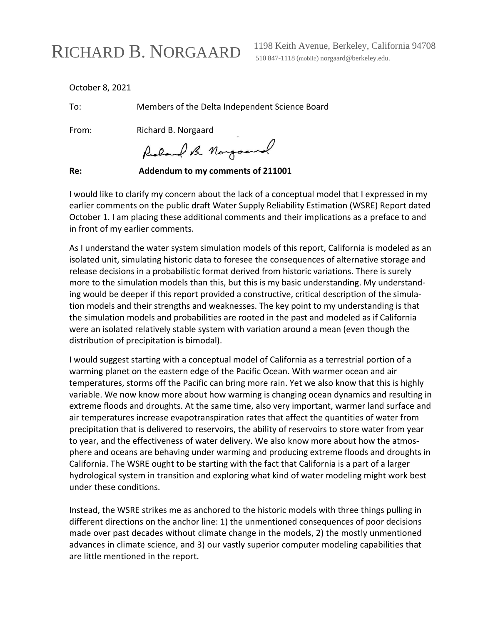## RICHARD B. NORGAARD

1198 Keith Avenue, Berkeley, California 94708 510 847-1118 (mobile) [norgaard@berkeley.edu.](mailto:norgaard@berkeley.edu)

October 8, 2021

To: Members of the Delta Independent Science Board

From: Richard B. Norgaard

Redand B. Norgoand

**Re: Addendum to my comments of 211001**

I would like to clarify my concern about the lack of a conceptual model that I expressed in my earlier comments on the public draft Water Supply Reliability Estimation (WSRE) Report dated October 1. I am placing these additional comments and their implications as a preface to and in front of my earlier comments.

As I understand the water system simulation models of this report, California is modeled as an isolated unit, simulating historic data to foresee the consequences of alternative storage and release decisions in a probabilistic format derived from historic variations. There is surely more to the simulation models than this, but this is my basic understanding. My understanding would be deeper if this report provided a constructive, critical description of the simulation models and their strengths and weaknesses. The key point to my understanding is that the simulation models and probabilities are rooted in the past and modeled as if California were an isolated relatively stable system with variation around a mean (even though the distribution of precipitation is bimodal).

I would suggest starting with a conceptual model of California as a terrestrial portion of a warming planet on the eastern edge of the Pacific Ocean. With warmer ocean and air temperatures, storms off the Pacific can bring more rain. Yet we also know that this is highly variable. We now know more about how warming is changing ocean dynamics and resulting in extreme floods and droughts. At the same time, also very important, warmer land surface and air temperatures increase evapotranspiration rates that affect the quantities of water from precipitation that is delivered to reservoirs, the ability of reservoirs to store water from year to year, and the effectiveness of water delivery. We also know more about how the atmosphere and oceans are behaving under warming and producing extreme floods and droughts in California. The WSRE ought to be starting with the fact that California is a part of a larger hydrological system in transition and exploring what kind of water modeling might work best under these conditions.

Instead, the WSRE strikes me as anchored to the historic models with three things pulling in different directions on the anchor line: 1) the unmentioned consequences of poor decisions made over past decades without climate change in the models, 2) the mostly unmentioned advances in climate science, and 3) our vastly superior computer modeling capabilities that are little mentioned in the report.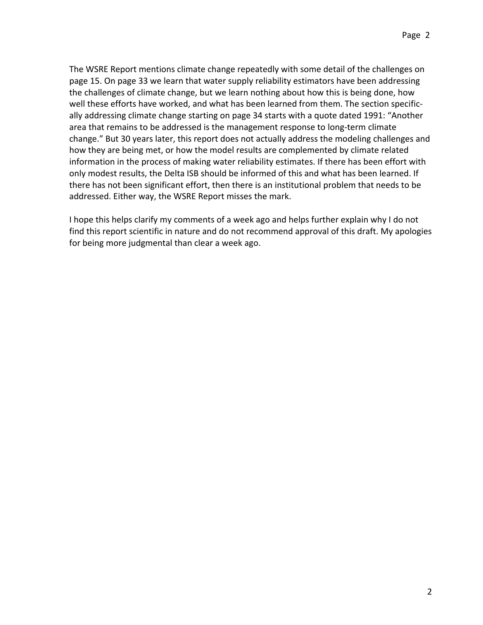The WSRE Report mentions climate change repeatedly with some detail of the challenges on page 15. On page 33 we learn that water supply reliability estimators have been addressing the challenges of climate change, but we learn nothing about how this is being done, how well these efforts have worked, and what has been learned from them. The section specifically addressing climate change starting on page 34 starts with a quote dated 1991: "Another area that remains to be addressed is the management response to long-term climate change." But 30 years later, this report does not actually address the modeling challenges and how they are being met, or how the model results are complemented by climate related information in the process of making water reliability estimates. If there has been effort with only modest results, the Delta ISB should be informed of this and what has been learned. If there has not been significant effort, then there is an institutional problem that needs to be addressed. Either way, the WSRE Report misses the mark.

I hope this helps clarify my comments of a week ago and helps further explain why I do not find this report scientific in nature and do not recommend approval of this draft. My apologies for being more judgmental than clear a week ago.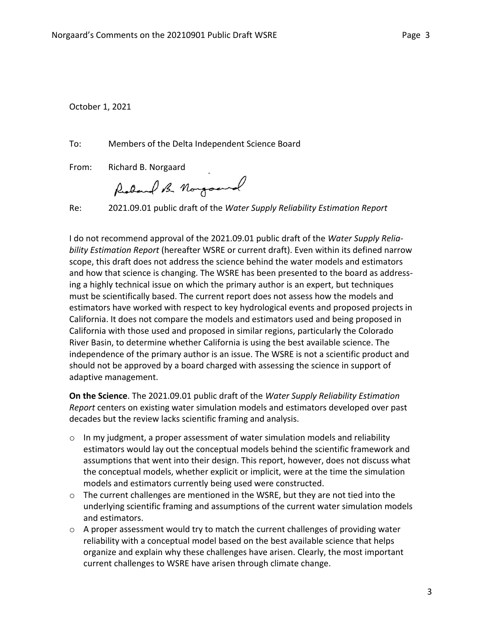October 1, 2021

To: Members of the Delta Independent Science Board

From: Richard B. Norgaard

Richard B. Norgoand

Re: 2021.09.01 public draft of the *Water Supply Reliability Estimation Report*

I do not recommend approval of the 2021.09.01 public draft of the *Water Supply Reliability Estimation Report* (hereafter WSRE or current draft). Even within its defined narrow scope, this draft does not address the science behind the water models and estimators and how that science is changing. The WSRE has been presented to the board as addressing a highly technical issue on which the primary author is an expert, but techniques must be scientifically based. The current report does not assess how the models and estimators have worked with respect to key hydrological events and proposed projects in California. It does not compare the models and estimators used and being proposed in California with those used and proposed in similar regions, particularly the Colorado River Basin, to determine whether California is using the best available science. The independence of the primary author is an issue. The WSRE is not a scientific product and should not be approved by a board charged with assessing the science in support of adaptive management.

**On the Science**. The 2021.09.01 public draft of the *Water Supply Reliability Estimation Report* centers on existing water simulation models and estimators developed over past decades but the review lacks scientific framing and analysis.

- o In my judgment, a proper assessment of water simulation models and reliability estimators would lay out the conceptual models behind the scientific framework and assumptions that went into their design. This report, however, does not discuss what the conceptual models, whether explicit or implicit, were at the time the simulation models and estimators currently being used were constructed.
- o The current challenges are mentioned in the WSRE, but they are not tied into the underlying scientific framing and assumptions of the current water simulation models and estimators.
- $\circ$  A proper assessment would try to match the current challenges of providing water reliability with a conceptual model based on the best available science that helps organize and explain why these challenges have arisen. Clearly, the most important current challenges to WSRE have arisen through climate change.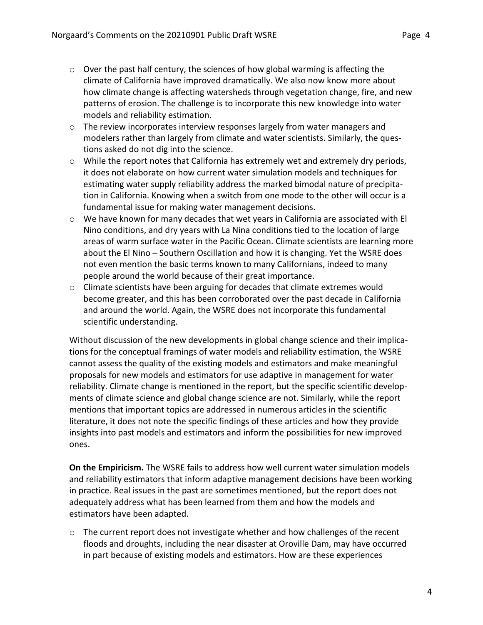- o Over the past half century, the sciences of how global warming is affecting the climate of California have improved dramatically. We also now know more about how climate change is affecting watersheds through vegetation change, fire, and new patterns of erosion. The challenge is to incorporate this new knowledge into water models and reliability estimation.
- $\circ$  The review incorporates interview responses largely from water managers and modelers rather than largely from climate and water scientists. Similarly, the questions asked do not dig into the science.
- $\circ$  While the report notes that California has extremely wet and extremely dry periods, it does not elaborate on how current water simulation models and techniques for estimating water supply reliability address the marked bimodal nature of precipitation in California. Knowing when a switch from one mode to the other will occur is a fundamental issue for making water management decisions.
- $\circ$  We have known for many decades that wet years in California are associated with El Nino conditions, and dry years with La Nina conditions tied to the location of large areas of warm surface water in the Pacific Ocean. Climate scientists are learning more about the El Nino – Southern Oscillation and how it is changing. Yet the WSRE does not even mention the basic terms known to many Californians, indeed to many people around the world because of their great importance.
- $\circ$  Climate scientists have been arguing for decades that climate extremes would become greater, and this has been corroborated over the past decade in California and around the world. Again, the WSRE does not incorporate this fundamental scientific understanding.

Without discussion of the new developments in global change science and their implications for the conceptual framings of water models and reliability estimation, the WSRE cannot assess the quality of the existing models and estimators and make meaningful proposals for new models and estimators for use adaptive in management for water reliability. Climate change is mentioned in the report, but the specific scientific developments of climate science and global change science are not. Similarly, while the report mentions that important topics are addressed in numerous articles in the scientific literature, it does not note the specific findings of these articles and how they provide insights into past models and estimators and inform the possibilities for new improved ones.

**On the Empiricism.** The WSRE fails to address how well current water simulation models and reliability estimators that inform adaptive management decisions have been working in practice. Real issues in the past are sometimes mentioned, but the report does not adequately address what has been learned from them and how the models and estimators have been adapted.

 $\circ$  The current report does not investigate whether and how challenges of the recent floods and droughts, including the near disaster at Oroville Dam, may have occurred in part because of existing models and estimators. How are these experiences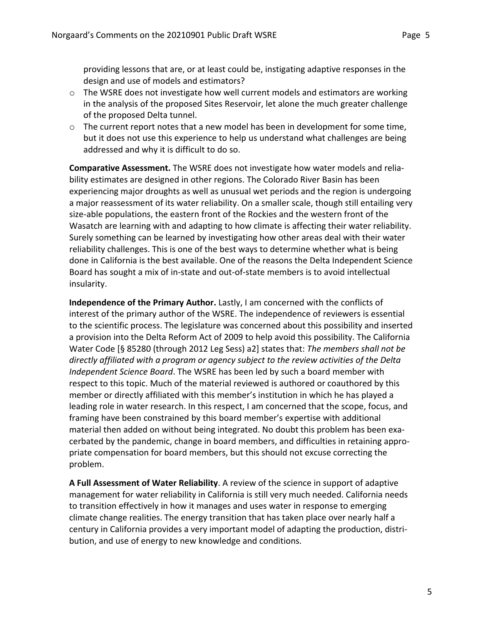providing lessons that are, or at least could be, instigating adaptive responses in the design and use of models and estimators?

- o The WSRE does not investigate how well current models and estimators are working in the analysis of the proposed Sites Reservoir, let alone the much greater challenge of the proposed Delta tunnel.
- $\circ$  The current report notes that a new model has been in development for some time, but it does not use this experience to help us understand what challenges are being addressed and why it is difficult to do so.

**Comparative Assessment.** The WSRE does not investigate how water models and reliability estimates are designed in other regions. The Colorado River Basin has been experiencing major droughts as well as unusual wet periods and the region is undergoing a major reassessment of its water reliability. On a smaller scale, though still entailing very size-able populations, the eastern front of the Rockies and the western front of the Wasatch are learning with and adapting to how climate is affecting their water reliability. Surely something can be learned by investigating how other areas deal with their water reliability challenges. This is one of the best ways to determine whether what is being done in California is the best available. One of the reasons the Delta Independent Science Board has sought a mix of in-state and out-of-state members is to avoid intellectual insularity.

**Independence of the Primary Author.** Lastly, I am concerned with the conflicts of interest of the primary author of the WSRE. The independence of reviewers is essential to the scientific process. The legislature was concerned about this possibility and inserted a provision into the Delta Reform Act of 2009 to help avoid this possibility. The California Water Code [§ 85280 (through 2012 Leg Sess) a2] states that: *The members shall not be directly affiliated with a program or agency subject to the review activities of the Delta Independent Science Board*. The WSRE has been led by such a board member with respect to this topic. Much of the material reviewed is authored or coauthored by this member or directly affiliated with this member's institution in which he has played a leading role in water research. In this respect, I am concerned that the scope, focus, and framing have been constrained by this board member's expertise with additional material then added on without being integrated. No doubt this problem has been exacerbated by the pandemic, change in board members, and difficulties in retaining appropriate compensation for board members, but this should not excuse correcting the problem.

**A Full Assessment of Water Reliability**. A review of the science in support of adaptive management for water reliability in California is still very much needed. California needs to transition effectively in how it manages and uses water in response to emerging climate change realities. The energy transition that has taken place over nearly half a century in California provides a very important model of adapting the production, distribution, and use of energy to new knowledge and conditions.